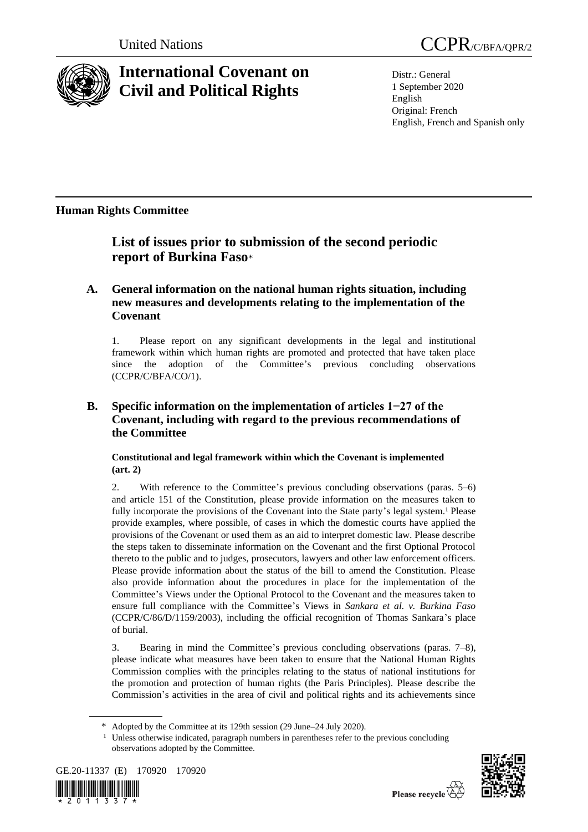

# **International Covenant on Civil and Political Rights**

Distr.: General 1 September 2020 English Original: French English, French and Spanish only

## **Human Rights Committee**

## **List of issues prior to submission of the second periodic report of Burkina Faso**\*

## **A. General information on the national human rights situation, including new measures and developments relating to the implementation of the Covenant**

1. Please report on any significant developments in the legal and institutional framework within which human rights are promoted and protected that have taken place since the adoption of the Committee's previous concluding observations (CCPR/C/BFA/CO/1).

## **B. Specific information on the implementation of articles 1−27 of the Covenant, including with regard to the previous recommendations of the Committee**

## **Constitutional and legal framework within which the Covenant is implemented (art. 2)**

2. With reference to the Committee's previous concluding observations (paras. 5–6) and article 151 of the Constitution, please provide information on the measures taken to fully incorporate the provisions of the Covenant into the State party's legal system.<sup>1</sup> Please provide examples, where possible, of cases in which the domestic courts have applied the provisions of the Covenant or used them as an aid to interpret domestic law. Please describe the steps taken to disseminate information on the Covenant and the first Optional Protocol thereto to the public and to judges, prosecutors, lawyers and other law enforcement officers. Please provide information about the status of the bill to amend the Constitution. Please also provide information about the procedures in place for the implementation of the Committee's Views under the Optional Protocol to the Covenant and the measures taken to ensure full compliance with the Committee's Views in *Sankara et al. v. Burkina Faso* (CCPR/C/86/D/1159/2003), including the official recognition of Thomas Sankara's place of burial.

3. Bearing in mind the Committee's previous concluding observations (paras. 7–8), please indicate what measures have been taken to ensure that the National Human Rights Commission complies with the principles relating to the status of national institutions for the promotion and protection of human rights (the Paris Principles). Please describe the Commission's activities in the area of civil and political rights and its achievements since

<sup>&</sup>lt;sup>1</sup> Unless otherwise indicated, paragraph numbers in parentheses refer to the previous concluding observations adopted by the Committee.





<sup>\*</sup> Adopted by the Committee at its 129th session (29 June–24 July 2020).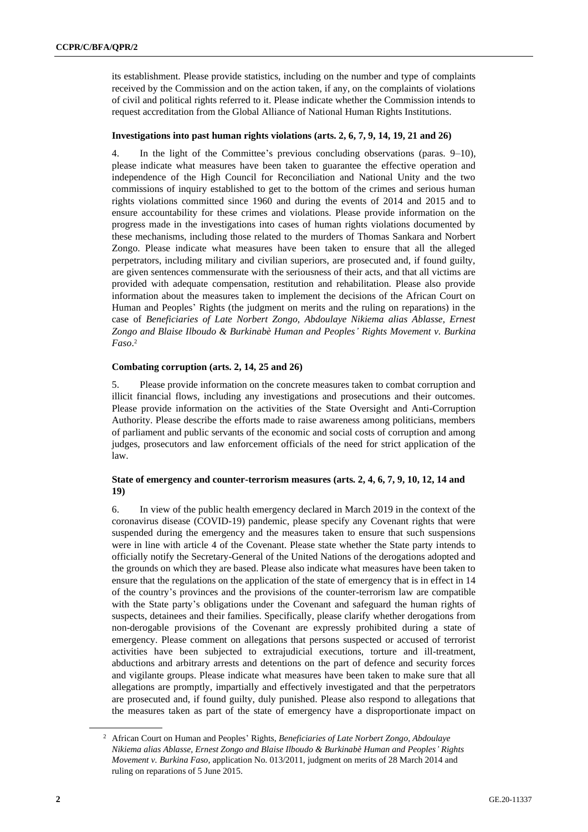its establishment. Please provide statistics, including on the number and type of complaints received by the Commission and on the action taken, if any, on the complaints of violations of civil and political rights referred to it. Please indicate whether the Commission intends to request accreditation from the Global Alliance of National Human Rights Institutions.

## **Investigations into past human rights violations (arts. 2, 6, 7, 9, 14, 19, 21 and 26)**

4. In the light of the Committee's previous concluding observations (paras. 9–10), please indicate what measures have been taken to guarantee the effective operation and independence of the High Council for Reconciliation and National Unity and the two commissions of inquiry established to get to the bottom of the crimes and serious human rights violations committed since 1960 and during the events of 2014 and 2015 and to ensure accountability for these crimes and violations. Please provide information on the progress made in the investigations into cases of human rights violations documented by these mechanisms, including those related to the murders of Thomas Sankara and Norbert Zongo. Please indicate what measures have been taken to ensure that all the alleged perpetrators, including military and civilian superiors, are prosecuted and, if found guilty, are given sentences commensurate with the seriousness of their acts, and that all victims are provided with adequate compensation, restitution and rehabilitation. Please also provide information about the measures taken to implement the decisions of the African Court on Human and Peoples' Rights (the judgment on merits and the ruling on reparations) in the case of *Beneficiaries of Late Norbert Zongo, Abdoulaye Nikiema alias Ablasse, Ernest Zongo and Blaise Ilboudo & Burkinabè Human and Peoples' Rights Movement v. Burkina Faso*. 2

### **Combating corruption (arts. 2, 14, 25 and 26)**

5. Please provide information on the concrete measures taken to combat corruption and illicit financial flows, including any investigations and prosecutions and their outcomes. Please provide information on the activities of the State Oversight and Anti-Corruption Authority. Please describe the efforts made to raise awareness among politicians, members of parliament and public servants of the economic and social costs of corruption and among judges, prosecutors and law enforcement officials of the need for strict application of the law.

## **State of emergency and counter-terrorism measures (arts. 2, 4, 6, 7, 9, 10, 12, 14 and 19)**

6. In view of the public health emergency declared in March 2019 in the context of the coronavirus disease (COVID-19) pandemic, please specify any Covenant rights that were suspended during the emergency and the measures taken to ensure that such suspensions were in line with article 4 of the Covenant. Please state whether the State party intends to officially notify the Secretary-General of the United Nations of the derogations adopted and the grounds on which they are based. Please also indicate what measures have been taken to ensure that the regulations on the application of the state of emergency that is in effect in 14 of the country's provinces and the provisions of the counter-terrorism law are compatible with the State party's obligations under the Covenant and safeguard the human rights of suspects, detainees and their families. Specifically, please clarify whether derogations from non-derogable provisions of the Covenant are expressly prohibited during a state of emergency. Please comment on allegations that persons suspected or accused of terrorist activities have been subjected to extrajudicial executions, torture and ill-treatment, abductions and arbitrary arrests and detentions on the part of defence and security forces and vigilante groups. Please indicate what measures have been taken to make sure that all allegations are promptly, impartially and effectively investigated and that the perpetrators are prosecuted and, if found guilty, duly punished. Please also respond to allegations that the measures taken as part of the state of emergency have a disproportionate impact on

<sup>2</sup> African Court on Human and Peoples' Rights, *Beneficiaries of Late Norbert Zongo, Abdoulaye Nikiema alias Ablasse, Ernest Zongo and Blaise Ilboudo & Burkinabè Human and Peoples' Rights Movement v. Burkina Faso*, application No. 013/2011, judgment on merits of 28 March 2014 and ruling on reparations of 5 June 2015.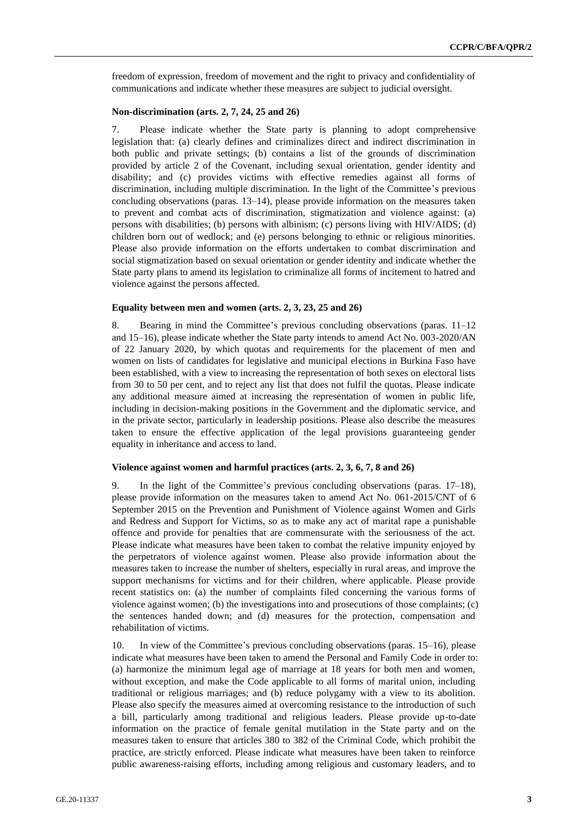freedom of expression, freedom of movement and the right to privacy and confidentiality of communications and indicate whether these measures are subject to judicial oversight.

#### **Non-discrimination (arts. 2, 7, 24, 25 and 26)**

7. Please indicate whether the State party is planning to adopt comprehensive legislation that: (a) clearly defines and criminalizes direct and indirect discrimination in both public and private settings; (b) contains a list of the grounds of discrimination provided by article 2 of the Covenant, including sexual orientation, gender identity and disability; and (c) provides victims with effective remedies against all forms of discrimination, including multiple discrimination. In the light of the Committee's previous concluding observations (paras. 13–14), please provide information on the measures taken to prevent and combat acts of discrimination, stigmatization and violence against: (a) persons with disabilities; (b) persons with albinism; (c) persons living with HIV/AIDS; (d) children born out of wedlock; and (e) persons belonging to ethnic or religious minorities. Please also provide information on the efforts undertaken to combat discrimination and social stigmatization based on sexual orientation or gender identity and indicate whether the State party plans to amend its legislation to criminalize all forms of incitement to hatred and violence against the persons affected.

#### **Equality between men and women (arts. 2, 3, 23, 25 and 26)**

8. Bearing in mind the Committee's previous concluding observations (paras. 11–12 and 15–16), please indicate whether the State party intends to amend Act No. 003-2020/AN of 22 January 2020, by which quotas and requirements for the placement of men and women on lists of candidates for legislative and municipal elections in Burkina Faso have been established, with a view to increasing the representation of both sexes on electoral lists from 30 to 50 per cent, and to reject any list that does not fulfil the quotas. Please indicate any additional measure aimed at increasing the representation of women in public life, including in decision-making positions in the Government and the diplomatic service, and in the private sector, particularly in leadership positions. Please also describe the measures taken to ensure the effective application of the legal provisions guaranteeing gender equality in inheritance and access to land.

#### **Violence against women and harmful practices (arts. 2, 3, 6, 7, 8 and 26)**

9. In the light of the Committee's previous concluding observations (paras. 17–18), please provide information on the measures taken to amend Act No. 061-2015/CNT of 6 September 2015 on the Prevention and Punishment of Violence against Women and Girls and Redress and Support for Victims, so as to make any act of marital rape a punishable offence and provide for penalties that are commensurate with the seriousness of the act. Please indicate what measures have been taken to combat the relative impunity enjoyed by the perpetrators of violence against women. Please also provide information about the measures taken to increase the number of shelters, especially in rural areas, and improve the support mechanisms for victims and for their children, where applicable. Please provide recent statistics on: (a) the number of complaints filed concerning the various forms of violence against women; (b) the investigations into and prosecutions of those complaints; (c) the sentences handed down; and (d) measures for the protection, compensation and rehabilitation of victims.

10. In view of the Committee's previous concluding observations (paras. 15–16), please indicate what measures have been taken to amend the Personal and Family Code in order to: (a) harmonize the minimum legal age of marriage at 18 years for both men and women, without exception, and make the Code applicable to all forms of marital union, including traditional or religious marriages; and (b) reduce polygamy with a view to its abolition. Please also specify the measures aimed at overcoming resistance to the introduction of such a bill, particularly among traditional and religious leaders. Please provide up-to-date information on the practice of female genital mutilation in the State party and on the measures taken to ensure that articles 380 to 382 of the Criminal Code, which prohibit the practice, are strictly enforced. Please indicate what measures have been taken to reinforce public awareness-raising efforts, including among religious and customary leaders, and to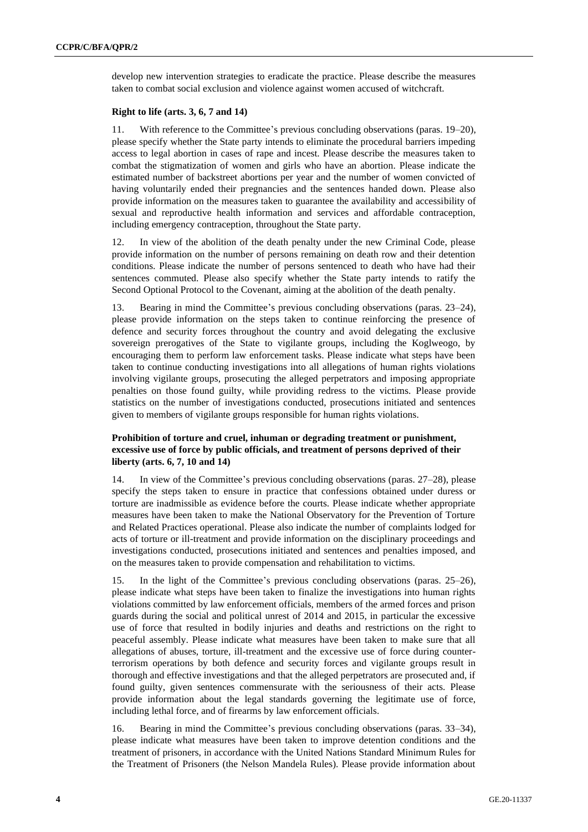develop new intervention strategies to eradicate the practice. Please describe the measures taken to combat social exclusion and violence against women accused of witchcraft.

#### **Right to life (arts. 3, 6, 7 and 14)**

11. With reference to the Committee's previous concluding observations (paras. 19–20), please specify whether the State party intends to eliminate the procedural barriers impeding access to legal abortion in cases of rape and incest. Please describe the measures taken to combat the stigmatization of women and girls who have an abortion. Please indicate the estimated number of backstreet abortions per year and the number of women convicted of having voluntarily ended their pregnancies and the sentences handed down. Please also provide information on the measures taken to guarantee the availability and accessibility of sexual and reproductive health information and services and affordable contraception, including emergency contraception, throughout the State party.

12. In view of the abolition of the death penalty under the new Criminal Code, please provide information on the number of persons remaining on death row and their detention conditions. Please indicate the number of persons sentenced to death who have had their sentences commuted. Please also specify whether the State party intends to ratify the Second Optional Protocol to the Covenant, aiming at the abolition of the death penalty.

Bearing in mind the Committee's previous concluding observations (paras. 23–24), please provide information on the steps taken to continue reinforcing the presence of defence and security forces throughout the country and avoid delegating the exclusive sovereign prerogatives of the State to vigilante groups, including the Koglweogo, by encouraging them to perform law enforcement tasks. Please indicate what steps have been taken to continue conducting investigations into all allegations of human rights violations involving vigilante groups, prosecuting the alleged perpetrators and imposing appropriate penalties on those found guilty, while providing redress to the victims. Please provide statistics on the number of investigations conducted, prosecutions initiated and sentences given to members of vigilante groups responsible for human rights violations.

## **Prohibition of torture and cruel, inhuman or degrading treatment or punishment, excessive use of force by public officials, and treatment of persons deprived of their liberty (arts. 6, 7, 10 and 14)**

In view of the Committee's previous concluding observations (paras. 27–28), please specify the steps taken to ensure in practice that confessions obtained under duress or torture are inadmissible as evidence before the courts. Please indicate whether appropriate measures have been taken to make the National Observatory for the Prevention of Torture and Related Practices operational. Please also indicate the number of complaints lodged for acts of torture or ill-treatment and provide information on the disciplinary proceedings and investigations conducted, prosecutions initiated and sentences and penalties imposed, and on the measures taken to provide compensation and rehabilitation to victims.

15. In the light of the Committee's previous concluding observations (paras. 25–26), please indicate what steps have been taken to finalize the investigations into human rights violations committed by law enforcement officials, members of the armed forces and prison guards during the social and political unrest of 2014 and 2015, in particular the excessive use of force that resulted in bodily injuries and deaths and restrictions on the right to peaceful assembly. Please indicate what measures have been taken to make sure that all allegations of abuses, torture, ill-treatment and the excessive use of force during counterterrorism operations by both defence and security forces and vigilante groups result in thorough and effective investigations and that the alleged perpetrators are prosecuted and, if found guilty, given sentences commensurate with the seriousness of their acts. Please provide information about the legal standards governing the legitimate use of force, including lethal force, and of firearms by law enforcement officials.

16. Bearing in mind the Committee's previous concluding observations (paras. 33–34), please indicate what measures have been taken to improve detention conditions and the treatment of prisoners, in accordance with the United Nations Standard Minimum Rules for the Treatment of Prisoners (the Nelson Mandela Rules). Please provide information about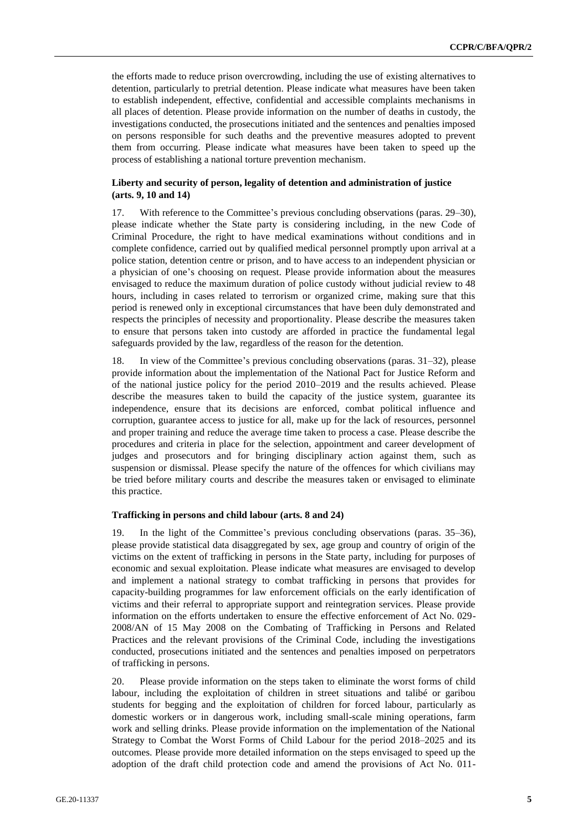the efforts made to reduce prison overcrowding, including the use of existing alternatives to detention, particularly to pretrial detention. Please indicate what measures have been taken to establish independent, effective, confidential and accessible complaints mechanisms in all places of detention. Please provide information on the number of deaths in custody, the investigations conducted, the prosecutions initiated and the sentences and penalties imposed on persons responsible for such deaths and the preventive measures adopted to prevent them from occurring. Please indicate what measures have been taken to speed up the process of establishing a national torture prevention mechanism.

### **Liberty and security of person, legality of detention and administration of justice (arts. 9, 10 and 14)**

17. With reference to the Committee's previous concluding observations (paras. 29–30), please indicate whether the State party is considering including, in the new Code of Criminal Procedure, the right to have medical examinations without conditions and in complete confidence, carried out by qualified medical personnel promptly upon arrival at a police station, detention centre or prison, and to have access to an independent physician or a physician of one's choosing on request. Please provide information about the measures envisaged to reduce the maximum duration of police custody without judicial review to 48 hours, including in cases related to terrorism or organized crime, making sure that this period is renewed only in exceptional circumstances that have been duly demonstrated and respects the principles of necessity and proportionality. Please describe the measures taken to ensure that persons taken into custody are afforded in practice the fundamental legal safeguards provided by the law, regardless of the reason for the detention.

18. In view of the Committee's previous concluding observations (paras. 31–32), please provide information about the implementation of the National Pact for Justice Reform and of the national justice policy for the period 2010–2019 and the results achieved. Please describe the measures taken to build the capacity of the justice system, guarantee its independence, ensure that its decisions are enforced, combat political influence and corruption, guarantee access to justice for all, make up for the lack of resources, personnel and proper training and reduce the average time taken to process a case. Please describe the procedures and criteria in place for the selection, appointment and career development of judges and prosecutors and for bringing disciplinary action against them, such as suspension or dismissal. Please specify the nature of the offences for which civilians may be tried before military courts and describe the measures taken or envisaged to eliminate this practice.

#### **Trafficking in persons and child labour (arts. 8 and 24)**

19. In the light of the Committee's previous concluding observations (paras. 35–36), please provide statistical data disaggregated by sex, age group and country of origin of the victims on the extent of trafficking in persons in the State party, including for purposes of economic and sexual exploitation. Please indicate what measures are envisaged to develop and implement a national strategy to combat trafficking in persons that provides for capacity-building programmes for law enforcement officials on the early identification of victims and their referral to appropriate support and reintegration services. Please provide information on the efforts undertaken to ensure the effective enforcement of Act No. 029- 2008/AN of 15 May 2008 on the Combating of Trafficking in Persons and Related Practices and the relevant provisions of the Criminal Code, including the investigations conducted, prosecutions initiated and the sentences and penalties imposed on perpetrators of trafficking in persons.

20. Please provide information on the steps taken to eliminate the worst forms of child labour, including the exploitation of children in street situations and talibé or garibou students for begging and the exploitation of children for forced labour, particularly as domestic workers or in dangerous work, including small-scale mining operations, farm work and selling drinks. Please provide information on the implementation of the National Strategy to Combat the Worst Forms of Child Labour for the period 2018–2025 and its outcomes. Please provide more detailed information on the steps envisaged to speed up the adoption of the draft child protection code and amend the provisions of Act No. 011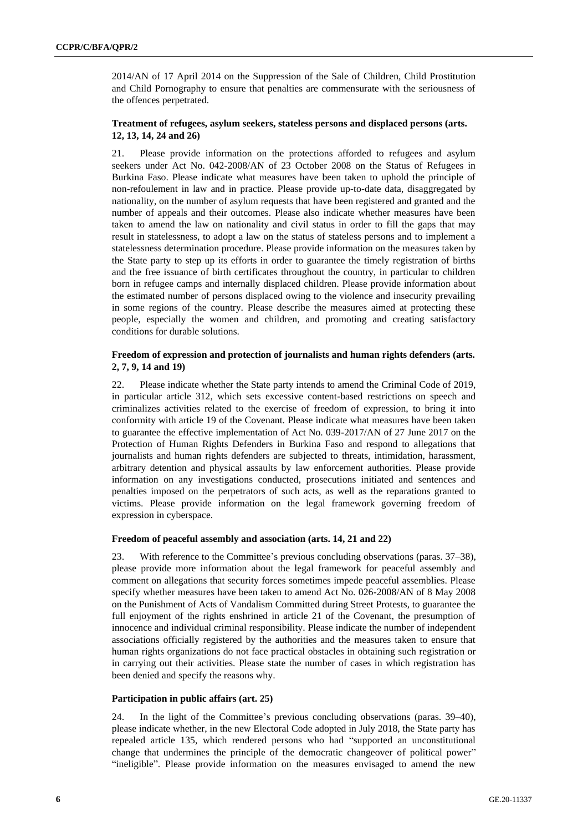2014/AN of 17 April 2014 on the Suppression of the Sale of Children, Child Prostitution and Child Pornography to ensure that penalties are commensurate with the seriousness of the offences perpetrated.

### **Treatment of refugees, asylum seekers, stateless persons and displaced persons (arts. 12, 13, 14, 24 and 26)**

21. Please provide information on the protections afforded to refugees and asylum seekers under Act No. 042-2008/AN of 23 October 2008 on the Status of Refugees in Burkina Faso. Please indicate what measures have been taken to uphold the principle of non-refoulement in law and in practice. Please provide up-to-date data, disaggregated by nationality, on the number of asylum requests that have been registered and granted and the number of appeals and their outcomes. Please also indicate whether measures have been taken to amend the law on nationality and civil status in order to fill the gaps that may result in statelessness, to adopt a law on the status of stateless persons and to implement a statelessness determination procedure. Please provide information on the measures taken by the State party to step up its efforts in order to guarantee the timely registration of births and the free issuance of birth certificates throughout the country, in particular to children born in refugee camps and internally displaced children. Please provide information about the estimated number of persons displaced owing to the violence and insecurity prevailing in some regions of the country. Please describe the measures aimed at protecting these people, especially the women and children, and promoting and creating satisfactory conditions for durable solutions.

### **Freedom of expression and protection of journalists and human rights defenders (arts. 2, 7, 9, 14 and 19)**

22. Please indicate whether the State party intends to amend the Criminal Code of 2019, in particular article 312, which sets excessive content-based restrictions on speech and criminalizes activities related to the exercise of freedom of expression, to bring it into conformity with article 19 of the Covenant. Please indicate what measures have been taken to guarantee the effective implementation of Act No. 039-2017/AN of 27 June 2017 on the Protection of Human Rights Defenders in Burkina Faso and respond to allegations that journalists and human rights defenders are subjected to threats, intimidation, harassment, arbitrary detention and physical assaults by law enforcement authorities. Please provide information on any investigations conducted, prosecutions initiated and sentences and penalties imposed on the perpetrators of such acts, as well as the reparations granted to victims. Please provide information on the legal framework governing freedom of expression in cyberspace.

## **Freedom of peaceful assembly and association (arts. 14, 21 and 22)**

23. With reference to the Committee's previous concluding observations (paras. 37–38), please provide more information about the legal framework for peaceful assembly and comment on allegations that security forces sometimes impede peaceful assemblies. Please specify whether measures have been taken to amend Act No. 026-2008/AN of 8 May 2008 on the Punishment of Acts of Vandalism Committed during Street Protests, to guarantee the full enjoyment of the rights enshrined in article 21 of the Covenant, the presumption of innocence and individual criminal responsibility. Please indicate the number of independent associations officially registered by the authorities and the measures taken to ensure that human rights organizations do not face practical obstacles in obtaining such registration or in carrying out their activities. Please state the number of cases in which registration has been denied and specify the reasons why.

## **Participation in public affairs (art. 25)**

24. In the light of the Committee's previous concluding observations (paras. 39–40), please indicate whether, in the new Electoral Code adopted in July 2018, the State party has repealed article 135, which rendered persons who had "supported an unconstitutional change that undermines the principle of the democratic changeover of political power" "ineligible". Please provide information on the measures envisaged to amend the new